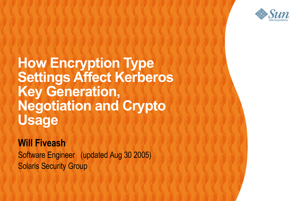

**How Encryption Type Settings Affect Kerberos Key Generation, Negotiation and Crypto Usage** 100000000

 $C$  -  $C$  -  $C$  -  $C$  -  $C$  -  $C$  -  $C$  -  $C$  -  $C$  -  $C$  -  $C$  -  $C$  -  $C$  -  $C$  -  $C$  -  $C$  -  $C$  -  $C$  -  $C$  -  $C$  -  $C$  -  $C$  -  $C$  -  $C$  -  $C$  -  $C$  -  $C$  -  $C$  -  $C$  -  $C$  -  $C$  -  $C$  -  $C$  -  $C$  -  $C$  -  $C$  -  $C$  -

,,,,,,,,,,,,,,,,,,,,,,

#### **Will Fiveash**

Software Engineer (updated Aug 30 2005) Solaris Security Group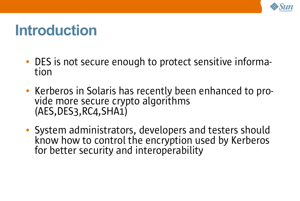

#### **Introduction**

- DES is not secure enough to protect sensitive information
- Kerberos in Solaris has recently been enhanced to provide more secure crypto algorithms (AES,DES3,RC4,SHA1)
- System administrators, developers and testers should know how to control the encryption used by Kerberos for better security and interoperability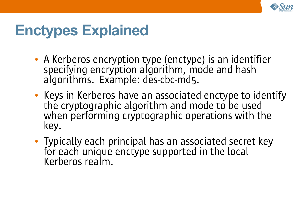

## **Enctypes Explained**

- A Kerberos encryption type (enctype) is an identifier specifying encryption algorithm, mode and hash algorithms. Example: des-cbc-md5.
- Keys in Kerberos have an associated enctype to identify the cryptographic algorithm and mode to be used when performing cryptographic operations with the key.
- Typically each principal has an associated secret key for each unique enctype supported in the local Kerberos realm.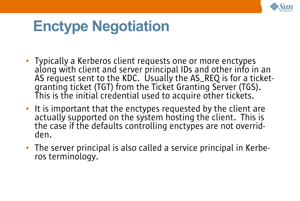

## **Enctype Negotiation**

- Typically a Kerberos client requests one or more enctypes along with client and server principal IDs and other info in an AS request sent to the KDC. Usually the AS\_REQ is for a ticketgranting ticket (TGT) from the Ticket Granting Server (TGS). This is the initial credential used to acquire other tickets.
- It is important that the enctypes requested by the client are actually supported on the system hosting the client. This is the case if the defaults controlling enctypes are not overridden.
- The server principal is also called a service principal in Kerberos terminology.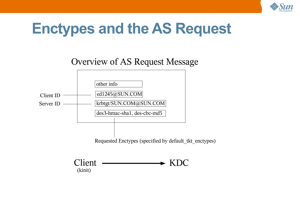

#### **Enctypes and the AS Request**

Overview of AS Request Message



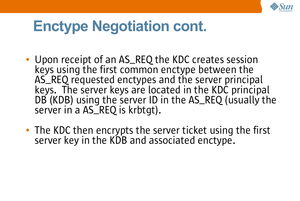

## **Enctype Negotiation cont.**

- Upon receipt of an AS\_REQ the KDC creates session keys using the first common enctype between the AS\_REQ requested enctypes and the server principal keys. The server keys are located in the KDC principal DB (KDB) using the server ID in the AS\_REQ (usually the server in a AS\_REQ is krbtgt).
- The KDC then encrypts the server ticket using the first server key in the KDB and associated enctype.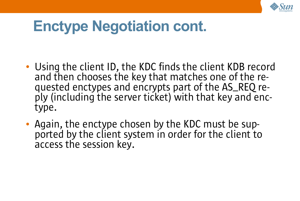

## **Enctype Negotiation cont.**

- Using the client ID, the KDC finds the client KDB record and then chooses the key that matches one of the requested enctypes and encrypts part of the AS\_REQ reply (including the server ticket) with that key and enctype.
- Again, the enctype chosen by the KDC must be supported by the client system in order for the client to access the session key.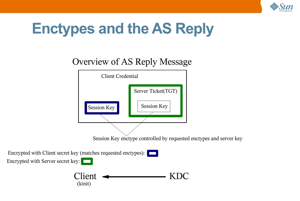

#### **Enctypes and the AS Reply**

#### Overview of AS Reply Message



Encrypted with Client secret key (matches requested enctypes): Encrypted with Server secret key:

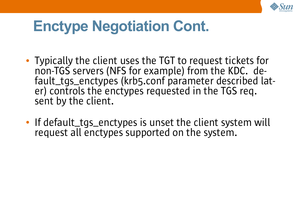

## **Enctype Negotiation Cont.**

- Typically the client uses the TGT to request tickets for non-TGS servers (NFS for example) from the KDC. default\_tgs\_enctypes (krb5.conf parameter described later) controls the enctypes requested in the TGS req. sent by the client.
- If default\_tgs\_enctypes is unset the client system will request all enctypes supported on the system.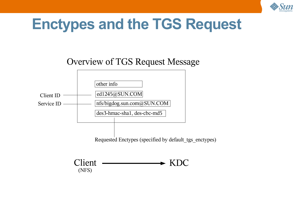

#### **Enctypes and the TGS Request**

Overview of TGS Request Message



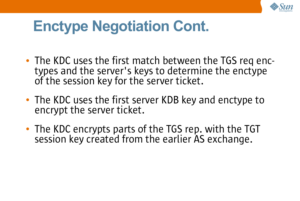

## **Enctype Negotiation Cont.**

- The KDC uses the first match between the TGS req enctypes and the server's keys to determine the enctype of the session key for the server ticket.
- The KDC uses the first server KDB key and enctype to encrypt the server ticket.
- The KDC encrypts parts of the TGS rep. with the TGT session key created from the earlier AS exchange.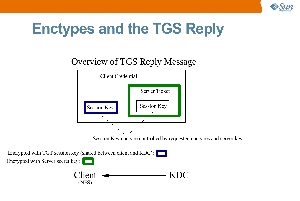

## **Enctypes and the TGS Reply**

#### Overview of TGS Reply Message



Encrypted with TGT session key (shared between client and KDC): Encrypted with Server secret key:

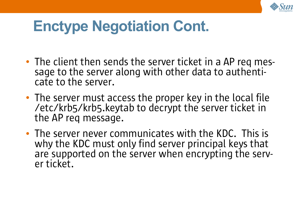

## **Enctype Negotiation Cont.**

- The client then sends the server ticket in a AP req message to the server along with other data to authenticate to the server.
- The server must access the proper key in the local file /etc/krb5/krb5.keytab to decrypt the server ticket in the AP req message.
- The server never communicates with the KDC. This is why the KDC must only find server principal keys that are supported on the server when encrypting the server ticket.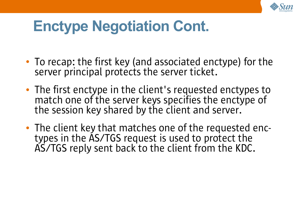

## **Enctype Negotiation Cont.**

- To recap: the first key (and associated enctype) for the server principal protects the server ticket.
- The first enctype in the client's requested enctypes to match one of the server keys specifies the enctype of the session key shared by the client and server.
- The client key that matches one of the requested enctypes in the AS/TGS request is used to protect the AS/TGS reply sent back to the client from the KDC.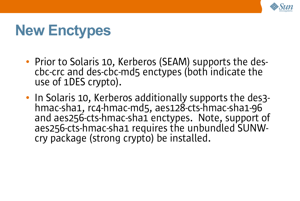

## **New Enctypes**

- Prior to Solaris 10, Kerberos (SEAM) supports the descbc-crc and des-cbc-md5 enctypes (both indicate the use of 1DES crypto).
- In Solaris 10, Kerberos additionally supports the des3 hmac-sha1, rc4-hmac-md5, aes128-cts-hmac-sha1-96 and aes256-cts-hmac-sha1 enctypes. Note, support of aes256-cts-hmac-sha1 requires the unbundled SUNWcry package (strong crypto) be installed.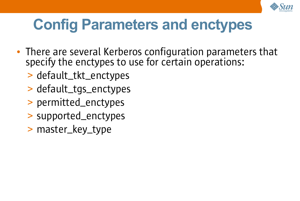

## **Config Parameters and enctypes**

- There are several Kerberos configuration parameters that specify the enctypes to use for certain operations:
	- > default\_tkt\_enctypes
	- > default\_tgs\_enctypes
	- > permitted\_enctypes
	- > supported\_enctypes
	- > master\_key\_type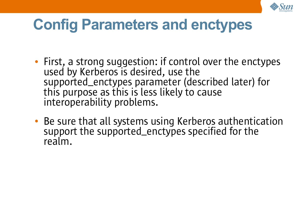

## **Config Parameters and enctypes**

- First, a strong suggestion: if control over the enctypes used by Kerberos is desired, use the supported\_enctypes parameter (described later) for this purpose as this is less likely to cause interoperability problems.
- Be sure that all systems using Kerberos authentication support the supported\_enctypes specified for the realm.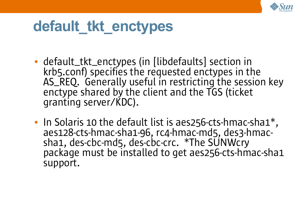

### **default\_tkt\_enctypes**

- default\_tkt\_enctypes (in [libdefaults] section in krb5.conf) specifies the requested enctypes in the AS\_REQ. Generally useful in restricting the session key enctype shared by the client and the TGS (ticket granting server/KDC).
- In Solaris 10 the default list is aes256-cts-hmac-sha1\* , aes128-cts-hmac-sha1-96, rc4-hmac-md5, des3-hmacsha1, des-cbc-md5, des-cbc-crc. \*The SUNWcry package must be installed to get aes256-cts-hmac-sha1 support.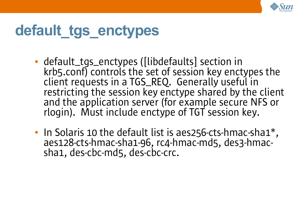

# **default\_tgs\_enctypes**

- default\_tgs\_enctypes ([libdefaults] section in krb5.conf) controls the set of session key enctypes the client requests in a TGS\_REQ. Generally useful in restricting the session key enctype shared by the client and the application server (for example secure NFS or rlogin). Must include enctype of TGT session key.
- In Solaris 10 the default list is aes256-cts-hmac-sha1\* , aes128-cts-hmac-sha1-96, rc4-hmac-md5, des3-hmacsha1, des-cbc-md5, des-cbc-crc.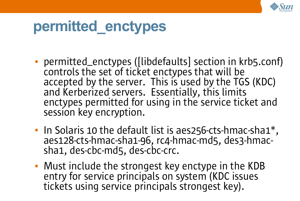

#### **permitted\_enctypes**

- permitted\_enctypes ([libdefaults] section in krb5.conf) controls the set of ticket enctypes that will be accepted by the server. This is used by the TGS (KDC) and Kerberized servers. Essentially, this limits enctypes permitted for using in the service ticket and session key encryption.
- In Solaris 10 the default list is aes256-cts-hmac-sha1\* , aes128-cts-hmac-sha1-96, rc4-hmac-md5, des3-hmacsha1, des-cbc-md5, des-cbc-crc.
- Must include the strongest key enctype in the KDB entry for service principals on system (KDC issues tickets using service principals strongest key).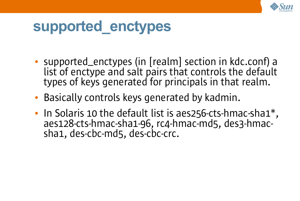

#### **supported\_enctypes**

- supported\_enctypes (in [realm] section in kdc.conf) a list of enctype and salt pairs that controls the default types of keys generated for principals in that realm.
- Basically controls keys generated by kadmin.
- In Solaris 10 the default list is aes256-cts-hmac-sha1\* , aes128-cts-hmac-sha1-96, rc4-hmac-md5, des3-hmacsha1, des-cbc-md5, des-cbc-crc.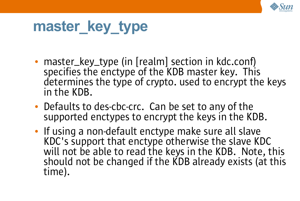

## master key type

- master\_key\_type (in [realm] section in kdc.conf) specifies the enctype of the KDB master key. This determines the type of crypto. used to encrypt the keys in the KDB.
- Defaults to des-cbc-crc. Can be set to any of the supported enctypes to encrypt the keys in the KDB.
- If using a non-default enctype make sure all slave KDC's support that enctype otherwise the slave KDC will not be able to read the keys in the KDB. Note, this should not be changed if the KDB already exists (at this time).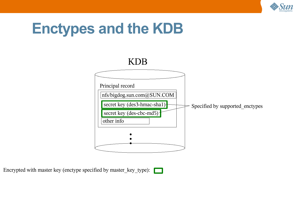

#### **Enctypes and the KDB**



Encrypted with master key (enctype specified by master\_key\_type):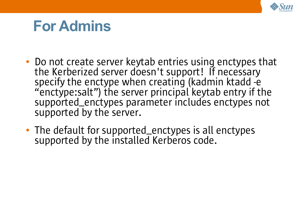

#### **For Admins**

- Do not create server keytab entries using enctypes that the Kerberized server doesn't support! If necessary specify the enctype when creating (kadmin ktadd -e "enctype:salt") the server principal keytab entry if the supported\_enctypes parameter includes enctypes not supported by the server.
- The default for supported\_enctypes is all enctypes supported by the installed Kerberos code.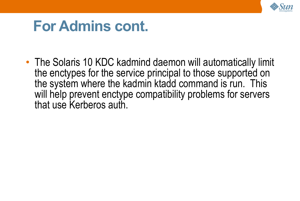

#### **For Admins cont.**

• The Solaris 10 KDC kadmind daemon will automatically limit the enctypes for the service principal to those supported on the system where the kadmin ktadd command is run. This will help prevent enctype compatibility problems for servers that use Kerberos auth.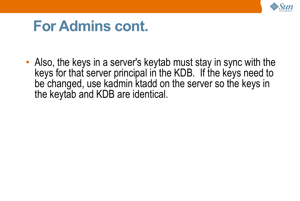

#### **For Admins cont.**

• Also, the keys in a server's keytab must stay in sync with the keys for that server principal in the KDB. If the keys need to be changed, use kadmin ktadd on the server so the keys in the keytab and KDB are identical.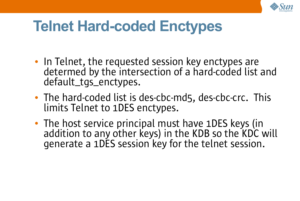

## **Telnet Hard-coded Enctypes**

- In Telnet, the requested session key enctypes are determed by the intersection of a hard-coded list and default\_tgs\_enctypes.
- The hard-coded list is des-cbc-md5, des-cbc-crc. This limits Telnet to 1DES enctypes.
- The host service principal must have 1DES keys (in addition to any other keys) in the KDB so the KDC will generate a 1DES session key for the telnet session.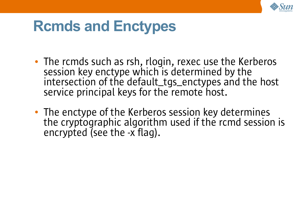

#### **Rcmds and Enctypes**

- The rcmds such as rsh, rlogin, rexec use the Kerberos session key enctype which is determined by the intersection of the default\_tgs\_enctypes and the host service principal keys for the remote host.
- The enctype of the Kerberos session key determines the cryptographic algorithm used if the rcmd session is encrypted (see the -x flag).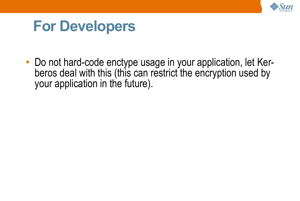

#### **For Developers**

• Do not hard-code enctype usage in your application, let Kerberos deal with this (this can restrict the encryption used by your application in the future).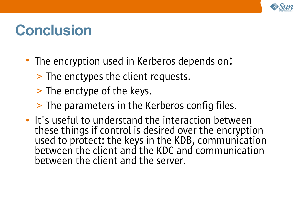

## **Conclusion**

- The encryption used in Kerberos depends on:
	- > The enctypes the client requests.
	- > The enctype of the keys.
	- > The parameters in the Kerberos config files.
- It's useful to understand the interaction between these things if control is desired over the encryption used to protect: the keys in the KDB, communication between the client and the KDC and communication between the client and the server.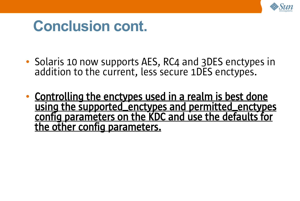

#### **Conclusion cont.**

- Solaris 10 now supports AES, RC4 and 3DES enctypes in addition to the current, less secure 1DES enctypes.
- Controlling the enctypes used in a realm is best done using the supported\_enctypes and permitted\_enctypes config parameters on the KDC and use the defaults for the other config parameters.